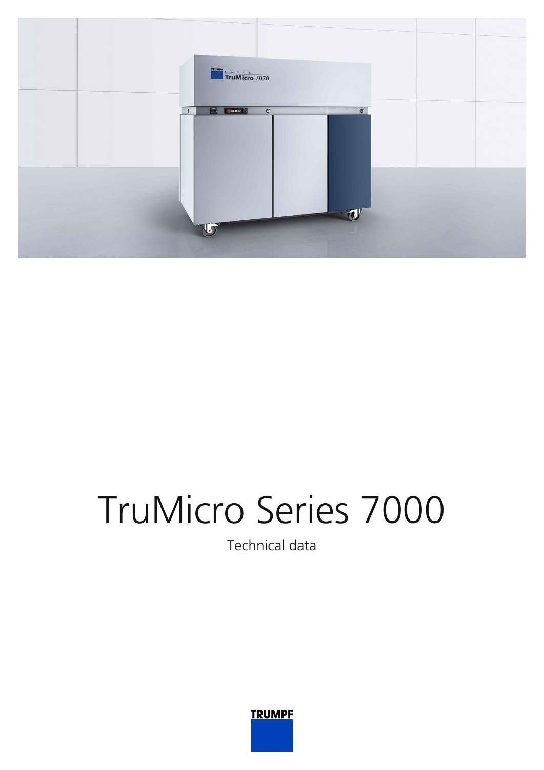

## TruMicro Series 7000

Technical data